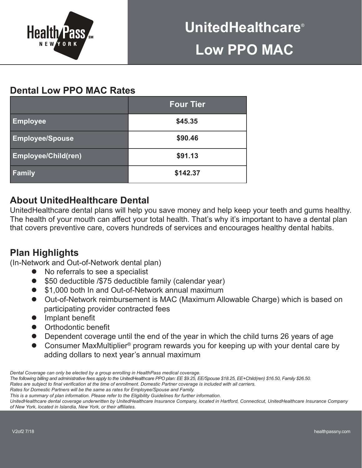

# **Dental Low PPO MAC Rates**

|                            | <b>Four Tier</b> |  |  |  |
|----------------------------|------------------|--|--|--|
| <b>Employee</b>            | \$45.35          |  |  |  |
| <b>Employee/Spouse</b>     | \$90.46          |  |  |  |
| <b>Employee/Child(ren)</b> | \$91.13          |  |  |  |
| Family                     | \$142.37         |  |  |  |

# **About UnitedHealthcare Dental**

UnitedHealthcare dental plans will help you save money and help keep your teeth and gums healthy. The health of your mouth can affect your total health. That's why it's important to have a dental plan that covers preventive care, covers hundreds of services and encourages healthy dental habits.

## **Plan Highlights**

(In-Network and Out-of-Network dental plan)

- No referrals to see a specialist
- $\bullet$  \$50 deductible /\$75 deductible family (calendar year)
- \$1,000 both In and Out-of-Network annual maximum
- **•** Out-of-Network reimbursement is MAC (Maximum Allowable Charge) which is based on participating provider contracted fees
- $\bullet$  Implant benefit
- **•** Orthodontic benefit
- Dependent coverage until the end of the year in which the child turns 26 years of age
- Consumer MaxMultiplier<sup>®</sup> program rewards you for keeping up with your dental care by adding dollars to next year's annual maximum

*Dental Coverage can only be elected by a group enrolling in HealthPass medical coverage.*

*The following billing and administrative fees apply to the UnitedHealthcare PPO plan: EE \$9.25, EE/Spouse \$18.25, EE+Child(ren) \$16.50, Family \$26.50. Rates are subject to final verification at the time of enrollment. Domestic Partner coverage is included with all carriers.*

*Rates for Domestic Partners will be the same as rates for Employee/Spouse and Family.* 

*This is a summary of plan information. Please refer to the Eligibility Guidelines for further information.* 

*UnitedHealthcare dental coverage underwritten by UnitedHealthcare Insurance Company, located in Hartford, Connecticut, UnitedHealthcare Insurance Company of New York, located in Islandia, New York, or their affiliates.*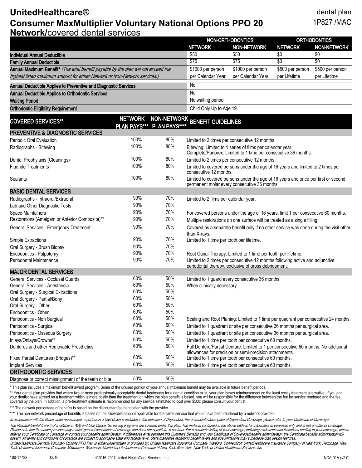### **UnitedHealthcare®** dental plan **Consumer MaxMultiplier Voluntary National Options PPO 20** 1P827 /MAC **Network/**covered dental services

| Network/covered dental services<br>NON-ORTHODONTICS<br><b>ORTHODONTICS</b>                                                                                       |                     |                |                                                                                                                                               |                                                                                                             |                  |                                  |  |  |
|------------------------------------------------------------------------------------------------------------------------------------------------------------------|---------------------|----------------|-----------------------------------------------------------------------------------------------------------------------------------------------|-------------------------------------------------------------------------------------------------------------|------------------|----------------------------------|--|--|
|                                                                                                                                                                  |                     |                | <b>NETWORK</b>                                                                                                                                | <b>NON-NETWORK</b>                                                                                          | <b>NETWORK</b>   | <b>NON-NETWORK</b>               |  |  |
| Individual Annual Deductible                                                                                                                                     |                     |                | \$50                                                                                                                                          | \$50                                                                                                        | \$0              | \$0                              |  |  |
|                                                                                                                                                                  |                     |                | \$75                                                                                                                                          | \$75                                                                                                        | \$0              | $\overline{50}$                  |  |  |
| <b>Family Annual Deductible</b>                                                                                                                                  |                     |                | \$1000 per person                                                                                                                             |                                                                                                             | \$500 per person |                                  |  |  |
| Annual Maximum Benefit* (The total benefit payable by the plan will not exceed the<br>highest listed maximum amount for either Network or Non-Network services.) |                     |                | per Calendar Year                                                                                                                             | \$1000 per person<br>per Calendar Year                                                                      | per Lifetime     | \$500 per person<br>per Lifetime |  |  |
|                                                                                                                                                                  |                     |                |                                                                                                                                               |                                                                                                             |                  |                                  |  |  |
| Annual Deductible Applies to Preventive and Diagnostic Services                                                                                                  |                     |                | No                                                                                                                                            |                                                                                                             |                  |                                  |  |  |
| Annual Deductible Applies to Orthodontic Services                                                                                                                |                     |                | <b>No</b>                                                                                                                                     |                                                                                                             |                  |                                  |  |  |
| <b>Waiting Period</b>                                                                                                                                            |                     |                | No waiting period                                                                                                                             |                                                                                                             |                  |                                  |  |  |
| <b>Orthodontic Eligibility Requirement</b>                                                                                                                       |                     |                | Child Only Up to Age 19                                                                                                                       |                                                                                                             |                  |                                  |  |  |
|                                                                                                                                                                  | <b>NETWORK</b>      |                | NON-NETWORK BENEFIT GUIDELINES                                                                                                                |                                                                                                             |                  |                                  |  |  |
| <b>COVERED SERVICES**</b>                                                                                                                                        | <b>PLAN PAYS***</b> | PI AN PAYS**** |                                                                                                                                               |                                                                                                             |                  |                                  |  |  |
| <b>PREVENTIVE &amp; DIAGNOSTIC SERVICES</b>                                                                                                                      |                     |                |                                                                                                                                               |                                                                                                             |                  |                                  |  |  |
| Periodic Oral Evaluation                                                                                                                                         | 100%                | 80%            | Limited to 2 times per consecutive 12 months.                                                                                                 |                                                                                                             |                  |                                  |  |  |
| Radiographs - Bitewing                                                                                                                                           | 100%                | 80%            |                                                                                                                                               | Bitewing: Limited to 1 series of films per calendar year.                                                   |                  |                                  |  |  |
|                                                                                                                                                                  |                     |                | Complete/Panorex: Limited to 1 time per consecutive 36 months.                                                                                |                                                                                                             |                  |                                  |  |  |
| Dental Prophylaxis (Cleanings)                                                                                                                                   | 100%                | 80%            |                                                                                                                                               | Limited to 2 times per consecutive 12 months.                                                               |                  |                                  |  |  |
| <b>Fluoride Treatments</b>                                                                                                                                       | 100%                | 80%            |                                                                                                                                               | Limited to covered persons under the age of 16 years and limited to 2 times per                             |                  |                                  |  |  |
| Sealants                                                                                                                                                         | 100%                | 80%            |                                                                                                                                               | consecutive 12 months.<br>Limited to covered persons under the age of 16 years and once per first or second |                  |                                  |  |  |
|                                                                                                                                                                  |                     |                | permanent molar every consecutive 36 months.                                                                                                  |                                                                                                             |                  |                                  |  |  |
| <b>BASIC DENTAL SERVICES</b>                                                                                                                                     |                     |                |                                                                                                                                               |                                                                                                             |                  |                                  |  |  |
| Radiographs - Intraoral/Extraoral                                                                                                                                | 90%                 | 70%            | Limited to 2 films per calendar year.                                                                                                         |                                                                                                             |                  |                                  |  |  |
| Lab and Other Diagnostic Tests                                                                                                                                   | 90%                 | 70%            |                                                                                                                                               |                                                                                                             |                  |                                  |  |  |
| Space Maintainers                                                                                                                                                | 90%                 | 70%            | For covered persons under the age of 16 years, limit 1 per consecutive 60 months.                                                             |                                                                                                             |                  |                                  |  |  |
| Restorations (Amalgam or Anterior Composite)**                                                                                                                   | 90%                 | 70%            | Multiple restorations on one surface will be treated as a single filling.                                                                     |                                                                                                             |                  |                                  |  |  |
| General Services - Emergency Treatment                                                                                                                           | 90%                 | 70%            | Covered as a separate benefit only if no other service was done during the visit other                                                        |                                                                                                             |                  |                                  |  |  |
|                                                                                                                                                                  |                     |                | than X-rays.                                                                                                                                  |                                                                                                             |                  |                                  |  |  |
| Simple Extractions                                                                                                                                               | 90%                 | 70%            | Limited to 1 time per tooth per lifetime.                                                                                                     |                                                                                                             |                  |                                  |  |  |
| Oral Surgery - Brush Biopsy                                                                                                                                      | 90%                 | 70%            |                                                                                                                                               |                                                                                                             |                  |                                  |  |  |
| Endodontics - Pulpotomy                                                                                                                                          | 90%                 | 70%            | Root Canal Therapy: Limited to 1 time per tooth per lifetime.                                                                                 |                                                                                                             |                  |                                  |  |  |
| Periodontal Maintenance                                                                                                                                          | 90%                 | 70%            | Limited to 2 times per consecutive 12 months following active and adjunctive<br>periodontal therapy, exclusive of gross debridement.          |                                                                                                             |                  |                                  |  |  |
| <b>MAJOR DENTAL SERVICES</b>                                                                                                                                     |                     |                |                                                                                                                                               |                                                                                                             |                  |                                  |  |  |
| General Services - Occlusal Guards                                                                                                                               | 60%                 | 50%            | Limited to 1 guard every consecutive 36 months.                                                                                               |                                                                                                             |                  |                                  |  |  |
| General Services - Anesthesia                                                                                                                                    | 60%                 | 50%            | When clinically necessary.                                                                                                                    |                                                                                                             |                  |                                  |  |  |
| Oral Surgery - Surgical Extractions                                                                                                                              | 60%                 | 50%            |                                                                                                                                               |                                                                                                             |                  |                                  |  |  |
| Oral Surgery - Partial/Bony                                                                                                                                      | 60%                 | 50%            |                                                                                                                                               |                                                                                                             |                  |                                  |  |  |
| Oral Surgery - Other                                                                                                                                             | 60%                 | 50%            |                                                                                                                                               |                                                                                                             |                  |                                  |  |  |
| Endodontics - Other                                                                                                                                              | 60%                 | 50%            |                                                                                                                                               |                                                                                                             |                  |                                  |  |  |
| Periodontics - Non Surgical                                                                                                                                      | 60%                 | 50%            | Scaling and Root Planing: Limited to 1 time per quadrant per consecutive 24 months.                                                           |                                                                                                             |                  |                                  |  |  |
| Periodontics - Surgical                                                                                                                                          | 60%                 | 50%            | Limited to 1 quadrant or site per consecutive 36 months per surgical area.                                                                    |                                                                                                             |                  |                                  |  |  |
| Periodontics - Osseous Surgery                                                                                                                                   | 60%                 | 50%            | Limited to 1 quadrant or site per consecutive 36 months per surgical area.                                                                    |                                                                                                             |                  |                                  |  |  |
| Inlays/Onlays/Crowns**                                                                                                                                           | 60%                 | 50%            |                                                                                                                                               |                                                                                                             |                  |                                  |  |  |
| Dentures and other Removable Prosthetics                                                                                                                         | 60%                 | 50%            | Limited to 1 time per tooth per consecutive 60 months.<br>Full Denture/Partial Denture: Limited to 1 per consecutive 60 months. No additional |                                                                                                             |                  |                                  |  |  |
|                                                                                                                                                                  |                     |                |                                                                                                                                               | allowances for precision or semi-precision attachments.                                                     |                  |                                  |  |  |
| Fixed Partial Dentures (Bridges)**                                                                                                                               | 60%                 | 50%            | Limited to 1 time per tooth per consecutive 60 months.                                                                                        |                                                                                                             |                  |                                  |  |  |

ORTHODONTIC SERVICES

Diagnose or correct misalignment of the teeth or bite 50% 50%

\* This plan includes a maximum benefit award program. Some of the unused portion of your annual maximum benefit may be available in future benefit periods.

Implant Services 60% 50% Limited to 1 time per tooth per consecutive 60 months.

\*\* Your dental plan provides that where two or more professionally acceptable dental treatments for a dental condition exist, your plan bases reimbursement on the least costly treatment alternative. If you and your dentist have agreed on a treatment which is more costly than the treatment on which the plan benefit is based, you will be responsible for the difference between the fee for service rendered and the fee<br>covered by the

\*\*\* The network percentage of benefits is based on the discounted fee negotiated with the provider.

\*\*\*\* The non-network percentage of benefits is based on the allowable amount applicable for the same service that would have been rendered by a network provider.

In accordance with the Illinois state requirement, a partner in a Civil Union is included in the definition of Dependent. For a complete description of Dependent Coverage, please refer to your Certificate of Coverage.

The Prenatal Dental Care (not available in WA) and Oral Cancer Screening programs are covered under this plan. The material contained in the above table is for informational purposes only and is not an offer of coverage. Please note that the above provides only a brief, general description of coverage and does not constitute a contract. For a complete listing of your coverage, including exclusions and limitations relating to your coverage, govern. All terms and conditions of coverage are subject to applicable state and federal laws. State mandates regarding benefit levels and age limitations may supersede plan design features.

UnitedHealthcare Dental® Voluntary Options PPO Plan is either underwritten or provided by: UnitedHealthcare Insurance Company, Hartford, Connecticut; UnitedHealthcare Insurance Company of New York, Hauppage, New York; Unimerica Insurance Company, Milwaukee, Wisconsin; Unimerica Life Insurance Company of New York, New York, New York; or United Healthcare Services, Inc.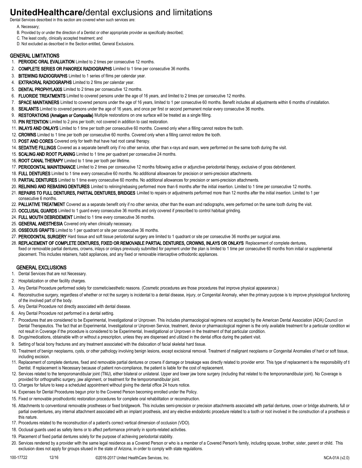# **UnitedHealthcare/**dental exclusions and limitations

Dental Services described in this section are covered when such services are:

- A. Necessary;
- B. Provided by or under the direction of a Dentist or other appropriate provider as specifically described;
- C. The least costly, clinically accepted treatment; and
- D. Not excluded as described in the Section entitled, General Exclusions.

#### GENERAL LIMITATIONS

- 1. PERIODIC ORAL EVALUATION Limited to 2 times per consecutive 12 months.
- 2. **COMPLETE SERIES OR PANOREX RADIOGRAPHS** Limited to 1 time per consecutive 36 months.
- 3. BITEWING RADIOGRAPHS Limited to 1 series of films per calendar year.
- 4. EXTRAORAL RADIOGRAPHS Limited to 2 films per calendar year.
- 5. DENTAL PROPHYLAXIS Limited to 2 times per consecutive 12 months.
- 6. FLUORIDE TREATMENTS Limited to covered persons under the age of 16 years, and limited to 2 times per consecutive 12 months.
- 7. SPACE MAINTAINERS Limited to covered persons under the age of 16 years, limited to 1 per consecutive 60 months. Benefit includes all adjustments within 6 months of installation.
- 8. SEALANTS Limited to covered persons under the age of 16 years, and once per first or second permanent molar every consecutive 36 months.
- 9. RESTORATIONS (Amalgam or Composite) Multiple restorations on one surface will be treated as a single filling.
- 10. PIN RETENTION Limited to 2 pins per tooth; not covered in addition to cast restoration.
- 11. INLAYS AND ONLAYS Limited to 1 time per tooth per consecutive 60 months. Covered only when a filling cannot restore the tooth.
- 12. CROWNS Limited to 1 time per tooth per consecutive 60 months. Covered only when a filling cannot restore the tooth.
- 13. POST AND CORES Covered only for teeth that have had root canal therapy.
- 14. SEDATIVE FILLINGS Covered as a separate benefit only if no other service, other than x-rays and exam, were performed on the same tooth during the visit.
- 15. SCALING AND ROOT PLANING Limited to 1 time per quadrant per consecutive 24 months.
- 16. ROOT CANAL THERAPY Limited to 1 time per tooth per lifetime.
- 17. PERIODONTAL MAINTENANCE Limited to 2 times per consecutive 12 months following active or adjunctive periodontal therapy, exclusive of gross debridement.
- 18. FULL DENTURES Limited to 1 time every consecutive 60 months. No additional allowances for precision or semi-precision attachments.
- 19. PARTIAL DENTURES Limited to 1 time every consecutive 60 months. No additional allowances for precision or semi-precision attachments.
- 20. RELINING AND REBASING DENTURES Limited to relining/rebasing performed more than 6 months after the initial insertion. Limited to 1 time per consecutive 12 months.
- 21. REPAIRS TO FULL DENTURES, PARTIAL DENTURES, BRIDGES Limited to repairs or adjustments performed more than 12 months after the initial insertion. Limited to 1 per consecutive 6 months.
- 22. PALLIATIVE TREATMENT Covered as a separate benefit only if no other service, other than the exam and radiographs, were performed on the same tooth during the visit.
- 23. OCCLUSAL GUARDS Limited to 1 quard every consecutive 36 months and only covered if prescribed to control habitual grinding.
- 24. FULL MOUTH DEBRIDEMENT Limited to 1 time every consecutive 36 months.
- 25. GENERAL ANESTHESIA Covered only when clinically necessary.
- 26. OSSEOUS GRAFTS Limited to 1 per quadrant or site per consecutive 36 months.
- 27. PERIODONTAL SURGERY Hard tissue and soft tissue periodontal surgery are limited to 1 quadrant or site per consecutive 36 months per surgical area.
- 28. REPLACEMENT OF COMPLETE DENTURES, FIXED OR REMOVABLE PARTIAL DENTURES, CROWNS, INLAYS OR ONLAYS Replacement of complete dentures, fixed or removable partial dentures, crowns, inlays or onlays previously submitted for payment under the plan is limited to 1 time per consecutive 60 months from initial or supplemental

### placement. This includes retainers, habit appliances, and any fixed or removable interceptive orthodontic appliances.

#### GENERAL EXCLUSIONS

- 1. Dental Services that are not Necessary.
- 2. Hospitalization or other facility charges.
- 3. Any Dental Procedure performed solely for cosmetic/aesthetic reasons. (Cosmetic procedures are those procedures that improve physical appearance.)
- 4. Reconstructive surgery, regardless of whether or not the surgery is incidental to a dental disease, injury, or Congenital Anomaly, when the primary purpose is to improve physiological functioning of the involved part of the body.
- 5. Any Dental Procedure not directly associated with dental disease.
- 6. Any Dental Procedure not performed in a dental setting.
- 7. Procedures that are considered to be Experimental, Investigational or Unproven. This includes pharmacological regimens not accepted by the American Dental Association (ADA) Council on Dental Therapeutics. The fact that an Experimental, Investigational or Unproven Service, treatment, device or pharmacological regimen is the only available treatment for a particular condition wi not result in Coverage if the procedure is considered to be Experimental, Investigational or Unproven in the treatment of that particular condition.
- 8. Drugs/medications, obtainable with or without a prescription, unless they are dispensed and utilized in the dental office during the patient visit.
- 9. Setting of facial bony fractures and any treatment associated with the dislocation of facial skeletal hard tissue.
- 10. Treatment of benign neoplasms, cysts, or other pathology involving benign lesions, except excisional removal. Treatment of malignant neoplasms or Congenital Anomalies of hard or soft tissue, including excision.
- 11. Replacement of complete dentures, fixed and removable partial dentures or crowns if damage or breakage was directly related to provider error. This type of replacement is the responsibility of t Dentist. If replacement is Necessary because of patient non-compliance, the patient is liable for the cost of replacement.
- 12. Services related to the temporomandibular joint (TMJ), either bilateral or unilateral. Upper and lower jaw bone surgery (including that related to the temporomandibular joint). No Coverage is provided for orthognathic surgery, jaw alignment, or treatment for the temporomandibular joint.
- 13. Charges for failure to keep a scheduled appointment without giving the dental office 24 hours notice.
- 14. Expenses for Dental Procedures begun prior to the Covered Person becoming enrolled under the Policy.
- 15. Fixed or removable prosthodontic restoration procedures for complete oral rehabilitation or reconstruction.
- 16. Attachments to conventional removable prostheses or fixed bridgework. This includes semi-precision or precision attachments associated with partial dentures, crown or bridge abutments, full or partial overdentures, any internal attachment associated with an implant prosthesis, and any elective endodontic procedure related to a tooth or root involved in the construction of a prosthesis o this nature.
- 17. Procedures related to the reconstruction of a patient's correct vertical dimension of occlusion (VDO).
- 18. Occlusal guards used as safety items or to affect performance primarily in sports-related activities.
- 19. Placement of fixed partial dentures solely for the purpose of achieving periodontal stability.
- 20. Services rendered by a provider with the same legal residence as a Covered Person or who is a member of a Covered Person's family, including spouse, brother, sister, parent or child. This exclusion does not apply for groups sitused in the state of Arizona, in order to comply with state regulations.